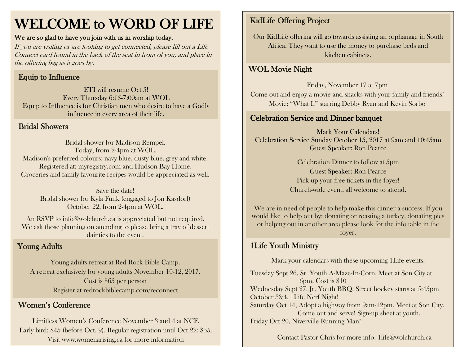# WELCOME to WORD OF LIFE

### We are so glad to have you join with us in worship today.

If you are visiting or are looking to get connected, please fill out a Life Connect card found in the back of the seat in front of you, and place in the offering bag as it goes by.

# Equip to Influence

ETI will resume Oct 5! Every Thursday 6:15-7:00am at WOL Equip to Influence is for Christian men who desire to have a Godly influence in every area of their life.

# Bridal Showers

Bridal shower for Madison Rempel. Today, from 2-4pm at WOL. Madison's preferred colours: navy blue, dusty blue, grey and white. Registered at: myregistry.com and Hudson Bay Home. Groceries and family favourite recipes would be appreciated as well.

Save the date! Bridal shower for Kyla Funk (engaged to Jon Kasdorf) October 22, from 2-4pm at WOL.

An RSVP to info@wolchurch.ca is appreciated but not required. We ask those planning on attending to please bring a tray of dessert dainties to the event.

# Young Adults

Young adults retreat at Red Rock Bible Camp. A retreat exclusively for young adults November 10-12, 2017. Cost is \$65 per person Register at redrockbiblecamp.com/reconnect

# Women's Conference

Limitless Women's Conference November 3 and 4 at NCF. Early bird: \$45 (before Oct. 9). Regular registration until Oct 22: \$55. Visit www.womenarising.ca for more information

# KidLife Offering Project

Our KidLife offering will go towards assisting an orphanage in South Africa. They want to use the money to purchase beds and kitchen cabinets.

#### $\overline{\phantom{a}}$ WOL Movie Night

Friday, November 17 at 7pm Come out and enjoy a movie and snacks with your family and friends! Movie: "What If" starring Debby Ryan and Kevin Sorbo

# Celebration Service and Dinner banquet

Mark Your Calendars! Celebration Service Sunday October 15, 2017 at 9am and 10:45am Guest Speaker: Ron Pearce

> Celebration Dinner to follow at 5pm Guest Speaker: Ron Pearce Pick up your free tickets in the foyer! Church-wide event, all welcome to attend.

We are in need of people to help make this dinner a success. If you would like to help out by: donating or roasting a turkey, donating pies or helping out in another area please look for the info table in the foyer.

# 1Life Youth Ministry

Mark your calendars with these upcoming 1Life events:

Tuesday Sept 26, Sr. Youth A-Maze-In-Corn. Meet at Son City at 6pm. Cost is \$10 Wednesday Sept 27, Jr. Youth BBQ. Street hockey starts at 5:45pm October 3&4, 1Life Nerf Night! Saturday Oct 14, Adopt a highway from 9am-12pm. Meet at Son City. Come out and serve! Sign-up sheet at youth. Friday Oct 20, Niverville Running Man!

Contact Pastor Chris for more info: [1life@wolchurch.ca](mailto:1life@wolchurch.ca)